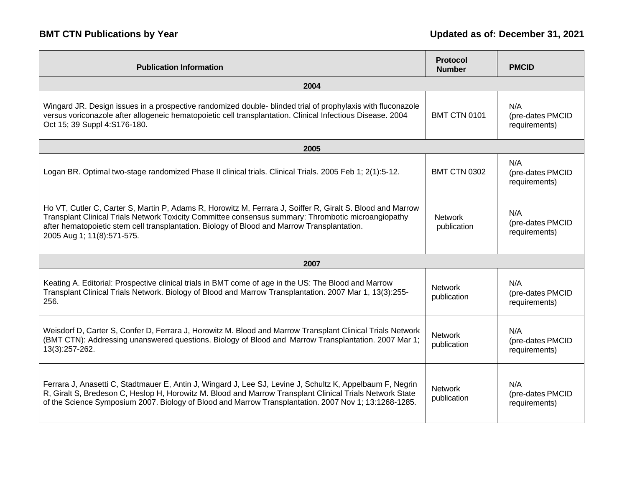| <b>Publication Information</b>                                                                                                                                                                                                                                                                                                                 | Protocol<br><b>Number</b>     | <b>PMCID</b>                             |  |
|------------------------------------------------------------------------------------------------------------------------------------------------------------------------------------------------------------------------------------------------------------------------------------------------------------------------------------------------|-------------------------------|------------------------------------------|--|
| 2004                                                                                                                                                                                                                                                                                                                                           |                               |                                          |  |
| Wingard JR. Design issues in a prospective randomized double- blinded trial of prophylaxis with fluconazole<br>versus voriconazole after allogeneic hematopoietic cell transplantation. Clinical Infectious Disease. 2004<br>Oct 15; 39 Suppl 4:S176-180.                                                                                      | <b>BMT CTN 0101</b>           | N/A<br>(pre-dates PMCID<br>requirements) |  |
| 2005                                                                                                                                                                                                                                                                                                                                           |                               |                                          |  |
| Logan BR. Optimal two-stage randomized Phase II clinical trials. Clinical Trials. 2005 Feb 1; 2(1):5-12.                                                                                                                                                                                                                                       | <b>BMT CTN 0302</b>           | N/A<br>(pre-dates PMCID<br>requirements) |  |
| Ho VT, Cutler C, Carter S, Martin P, Adams R, Horowitz M, Ferrara J, Soiffer R, Giralt S. Blood and Marrow<br>Transplant Clinical Trials Network Toxicity Committee consensus summary: Thrombotic microangiopathy<br>after hematopoietic stem cell transplantation. Biology of Blood and Marrow Transplantation.<br>2005 Aug 1; 11(8):571-575. | <b>Network</b><br>publication | N/A<br>(pre-dates PMCID<br>requirements) |  |
| 2007                                                                                                                                                                                                                                                                                                                                           |                               |                                          |  |
| Keating A. Editorial: Prospective clinical trials in BMT come of age in the US: The Blood and Marrow<br>Transplant Clinical Trials Network. Biology of Blood and Marrow Transplantation. 2007 Mar 1, 13(3):255-<br>256.                                                                                                                        | <b>Network</b><br>publication | N/A<br>(pre-dates PMCID<br>requirements) |  |
| Weisdorf D, Carter S, Confer D, Ferrara J, Horowitz M. Blood and Marrow Transplant Clinical Trials Network<br>(BMT CTN): Addressing unanswered questions. Biology of Blood and Marrow Transplantation. 2007 Mar 1;<br>13(3):257-262.                                                                                                           | <b>Network</b><br>publication | N/A<br>(pre-dates PMCID<br>requirements) |  |
| Ferrara J, Anasetti C, Stadtmauer E, Antin J, Wingard J, Lee SJ, Levine J, Schultz K, Appelbaum F, Negrin<br>R, Giralt S, Bredeson C, Heslop H, Horowitz M. Blood and Marrow Transplant Clinical Trials Network State<br>of the Science Symposium 2007. Biology of Blood and Marrow Transplantation. 2007 Nov 1; 13:1268-1285.                 | <b>Network</b><br>publication | N/A<br>(pre-dates PMCID<br>requirements) |  |